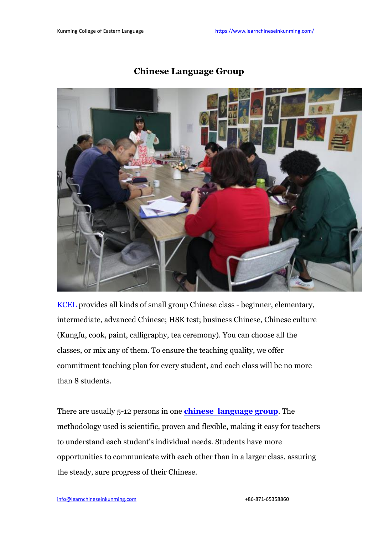

## **Chinese Language Group**

[KCEL](https://www.learnchineseinkunming.com/) provides all kinds of small group Chinese class - beginner, elementary, intermediate, advanced Chinese; HSK test; business Chinese, Chinese culture (Kungfu, cook, paint, calligraphy, tea ceremony). You can choose all the classes, or mix any of them. To ensure the teaching quality, we offer commitment teaching plan for every student, and each class will be no more than 8 students.

There are usually 5-12 persons in one **chinese [language](https://www.learnchineseinkunming.com/small-chinese-language-group.html) group**. The methodology used is scientific, proven and flexible, making it easy for teachers to understand each student's individual needs. Students have more opportunities to communicate with each other than in a larger class, assuring the steady, sure progress of their Chinese.